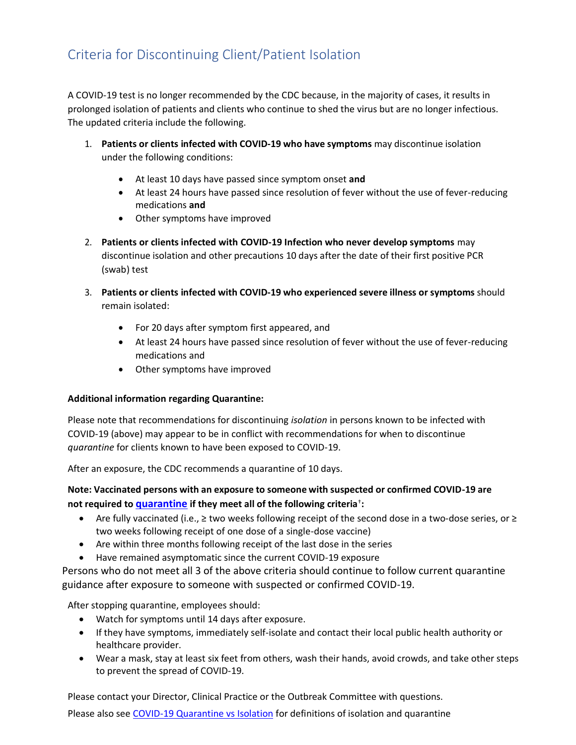A COVID-19 test is no longer recommended by the CDC because, in the majority of cases, it results in prolonged isolation of patients and clients who continue to shed the virus but are no longer infectious. The updated criteria include the following.

- 1. **Patients or clients infected with COVID-19 who have symptoms** may discontinue isolation under the following conditions:
	- At least 10 days have passed since symptom onset **and**
	- At least 24 hours have passed since resolution of fever without the use of fever-reducing medications **and**
	- Other symptoms have improved
- 2. **Patients or clients infected with COVID-19 Infection who never develop symptoms** may discontinue isolation and other precautions 10 days after the date of their first positive PCR (swab) test
- 3. **Patients or clients infected with COVID-19 who experienced severe illness or symptoms** should remain isolated:
	- For 20 days after symptom first appeared, and
	- At least 24 hours have passed since resolution of fever without the use of fever-reducing medications and
	- Other symptoms have improved

## **Additional information regarding Quarantine:**

Please note that recommendations for discontinuing *isolation* in persons known to be infected with COVID-19 (above) may appear to be in conflict with recommendations for when to discontinue *quarantine* for clients known to have been exposed to COVID-19.

After an exposure, the CDC recommends a quarantine of 10 days.

## **Note: Vaccinated persons with an exposure to someone with suspected or confirmed COVID-19 are not required to quarantine if they meet all of the following criteria**† **:**

- Are fully vaccinated (i.e., ≥ two weeks following receipt of the second dose in a two-dose series, or ≥ two weeks following receipt of one dose of a single-dose vaccine)
- Are within three months following receipt of the last dose in the series
- Have remained asymptomatic since the current COVID-19 exposure

Persons who do not meet all 3 of the above criteria should continue to follow current quarantine guidance after exposure to someone with suspected or confirmed COVID-19.

After stopping quarantine, employees should:

- Watch for symptoms until 14 days after exposure.
- If they have symptoms, immediately self-isolate and contact their local public health authority or healthcare provider.
- Wear a mask, stay at least six feet from others, wash their hands, avoid crowds, and take other steps to prevent the spread of COVID-19.

Please contact your Director, Clinical Practice or the Outbreak Committee with questions.

Please also see COVID-19 Quarantine vs Isolation for definitions of isolation and quarantine